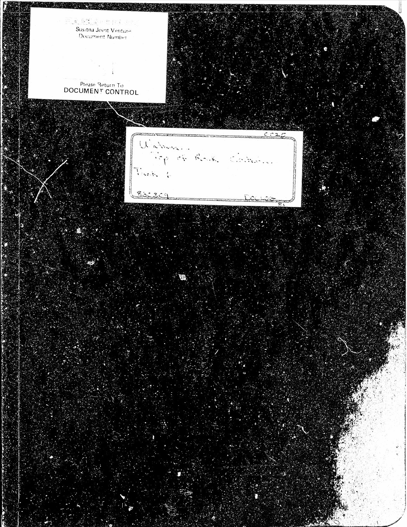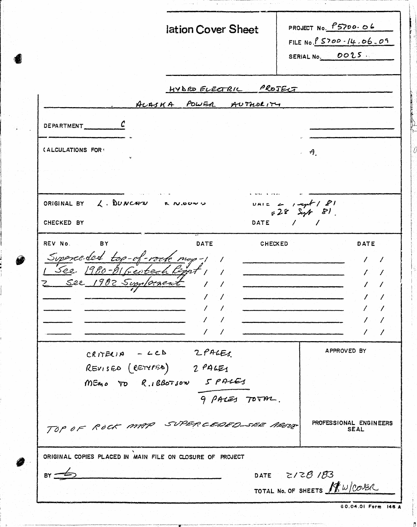|                                                           | lation Cover Sheet                                                             | PROJECT No. P5700.06<br>FILE No. $8500 - 14.06.09$<br>SERIAL No. 0025. |
|-----------------------------------------------------------|--------------------------------------------------------------------------------|------------------------------------------------------------------------|
|                                                           | HYBRO ELECTRIC PROJECT                                                         |                                                                        |
|                                                           | ALASKA POWER AUTHORITY                                                         |                                                                        |
| DEPARTMENT                                                |                                                                                |                                                                        |
| (ALCULATIONS FOR:                                         |                                                                                | $\theta$ .                                                             |
|                                                           |                                                                                |                                                                        |
| ORIGINAL BY $\lambda$ . DUNCAPE R N.OOWN                  |                                                                                | $\frac{1812}{428}$ , $\frac{1}{24}$ , $\frac{1}{28}$                   |
| CHECKED BY                                                | DATE                                                                           |                                                                        |
| REV No.<br><b>BY</b><br>Z See 1982 Supplement             | <b>DATE</b><br>Superceded top-of-voork my-11<br>$\mathcal{L}$<br>$\mathcal{L}$ | <b>CHECKED</b><br>DATE                                                 |
|                                                           |                                                                                |                                                                        |
|                                                           |                                                                                |                                                                        |
| $CRITEC)$ $A - LCD$                                       | 2 PACES<br>REVISED (RETURNED) 2 PAGES<br>MEMO TO R.IBBOTSON 5 PALES            | APPROVED BY                                                            |
|                                                           | 9 PALES TOTAL.                                                                 |                                                                        |
|                                                           | TOP OF ROCK MAP SUPERCEDED SEE AROUP                                           | PROFESSIONAL ENGINEERS<br><b>SEAL</b>                                  |
| ORIGINAL COPIES PLACED IN MAIN FILE ON CLOSURE OF PROJECT |                                                                                | DATE $Z/2\theta$ /83                                                   |

 $\hat{b}$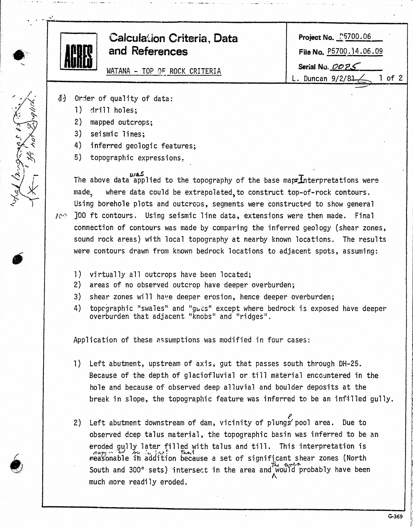

- $\delta_4$  Order of quality of data:
	- 1) drill holes;

I

i<br>Indonésia<br>Indonésia I

I, I' !

i<br>Indonesia<br>Indonesia !

Language

- 2) mapped outcrops;
- 3) seismic lines;
- 4) inferred geologic features;
- 5) topographic expressions.

The above data applied to the topography of the base maps Interpretations were made, where data could be extrapolated to construct top-of-rock contours. Using borehole plots and outcrops, segments were constructed to show general

- $100$  ft contours. Using seismic line data, extensions were then made. Final connection of contours was made by comparing the inferred geology (shear zones, sound rock areas) with local topography at nearby known locations. The results were contours drawn from known bedrock locations to adjacent spots, assuming:
	- 1) vjrtually all outcrops have been located;
	- 2) areas of no observed outcrop have deeper overburden;
	- 3) shear zones will have deeper erosion, hence deeper overburden;
	- 4) toprgraphic "swales" and "guts" except where bedrock is exposed have deeper overburden that adjacent "knobs" and "ridges".

Application of these assumptions was modified in four cases:

- 1) Left abutment, upstream of axis, gut that passes south through DH-25. Because of the depth of glaciofluvial or till material encountered in the hole and because of observed deep alluvial and boulder deposits at the break in slope, the topographic feature was inferred to be an infilled gully.
- 2) *<sup>e</sup>*Left abutment downstream of dam, vicinity of plungspool area. Due to observed deep talus material, the topographic basin was inferred to be an eroded gully later filled with talus and till. This interpretation is reasonable in addition because a set of significant shear zones (North South and 300° sets) intersect in the area and would probably have been much more readily eroded.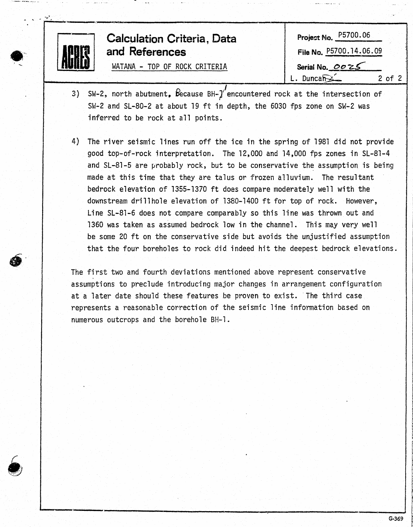| <b>Calculation Criteria, Data</b><br>ACARES<br>and References | Project No. P5700.06<br>File No. P5700.14.06.09 |
|---------------------------------------------------------------|-------------------------------------------------|
| WATANA - TOP OF ROCK CRITERIA                                 | Serial No. 0025<br>$Duncan \leq$<br>$2$ of $2$  |

- 3) SW-2, north abutment,  $\beta$  ecause BH- $\gamma$  encountered rock at the intersection of SW-2 and SL-80-2 at about 19 ft in depth, the 6030 fps zone on SW-2 was inferred to be rock at all points.
- 4) The river seismic lines run off the ice in the spring of 1981 did not provide good top-of-rock interpretation. The 12,000 and 14,000 fps zones in SL-81-4 and SL-81-5 are probably rock, but to be conservative the assumption is being made at this time that they are talus or frozen alluvium. The resultant bedrock elevation of 1355-1370 ft does compare moderately well with the downstream dril1hole elevation of 1380-1400 ft for top of rock. However, Line SL-81-6 does not compare comparably so this line was thrown out and 1360 was taken as assumed bedrock low in the channel. This may very well be some 20 ft on the conservative side but avoids the unjustified assumption that the four boreholes to rock did indeed hit the deepest bedrock elevations .

The first two and fourth deviations mentioned above represent conservative . assumptions to preclude introducing major changes in arrangement configuration at a later date should these features be proven to exist. The third case represents a reasonable correction of the seismic line information based on numerous outcrops and the borehole BH-1.

 $\bullet$ 

 $-$  -,  $\mathcal{F}$  .

!

the first contact t 1 i f

**the company** for a project of the context of the context of the context of the context of the context of the context of the context of the context of the context of the context of the context of the context of the context of the contex

the company *p*  **the official company** 

f

~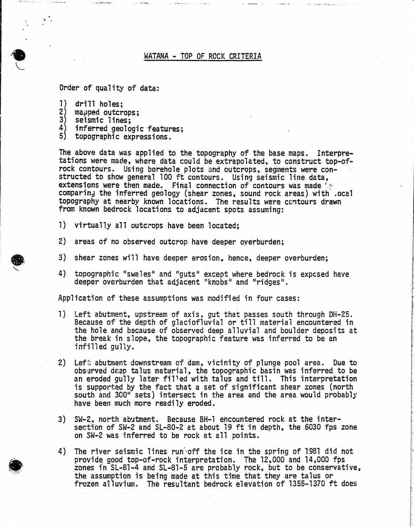# WATANA - TOP OF ROCK CRITERIA

Order of quality of data:

1) drill holes;

·,~ ...... \_\_\_ " \_\_\_ .. , .......... \_ .. \_

 $\ddot{\cdot}$ 

- 2) mapped outcrops;<br>3) seismic lines:
- seismic lines;
- 4) inferred geologic features;
- 5) topographic expressions.

The above data was applied to the topography of the base maps. Interpre- tations were made, where data could be extrapolated, to construct top-of- rock contours. Using borehole plots and outcrops, segments were constructed to show general 100 ft contours.. Using seismic line data, extensions were then made. Final connection of contours was made ', comparing the inferred geology (shear zones, sound rock areas) with .ocal topography at nearby known locations. The results were centours drawn from known bedrock locations to adjacent spots assuming:

- 1) virtually all outcrops have been located;
- 2) areas of no observed outcrop have deeper oyerburden;
- 3) shear zones will have deeper erosion, hence, deeper overburden;
- 4) topographic "swales" and "guts" except where bedrock is expcsed have deeper overburden that adjacent "knobs" and "ridges".

Application of these assumptions was modified in four cases:

- 1) Left abutment, upstream of axis, gut that passes south through DH-25. Because of the depth of glaciofluvial or till material encountered in the hole and because of observed deep alluvial and boulder deposits at the break in slope, the topographic feature was inferred to be an infi11ed gul1y.
- 2) Lef:; abutment downstream of dam, vicinity of plunge pool area. Due to observed deep talus material, the topographic basin was inferred to be an eroded gully later filled with talus and till. This interpretation is supported by the fact that a set of significant shear zones (north south and 300° sets) intersect in the area and the area would probably have been much more readily eroded.
- 3) SW-2, north abutment. Because BH-1 encountered rock at the intersection of SW-2 and SL-80-2 at about 19 ft in depth, the 6030 fps zone on SW-2 was inferred to be rock at all points.
- 4) The river seismic lines run off the ice in the spring of 1981 did not provide good top-of-rock interpretation. The 12,000 and 14,000 fps zones in SL-81-4 and SL-81-5 are probably rock, but to be conservative, the assumption is being made at this time that they are talus or frozen a11uvium. The resultant bedrock elevation of 1355-1370 ft does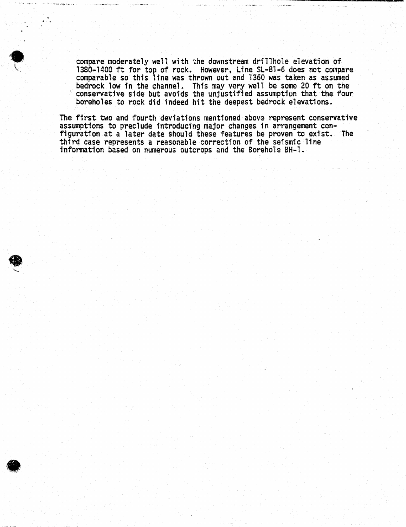compare moderately well with the downstream drillhole elevation of<br>1380-1400 ft for top of rock. However, Line SL-81-6 does not compare comparable so this line was thrown out and 1360 was taken as assumed bedrock low in the channel. This may very well be some 20 ft on the conservative side but avoids the unjustified assumption that the four boreholes to rock did indeed hit the deepest bedrock elevations.

.. .

 $\bullet$ 

The first two and fourth deviations mentioned above represent conservative assumptions to preclude introducing major changes in arrangement configuration at a later date should these features be proven to exist. The third case represents a reasonable correction of the seismic line information based on numerous outcrops and the Borehole BH-1 •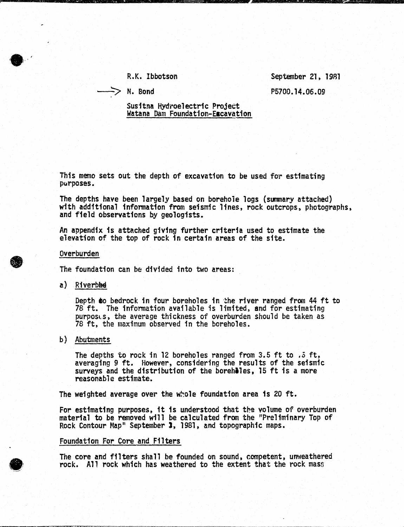R.K. Ibbotson

 $\Rightarrow$  N. Bond

September 21, 19R1 P5700.14.06.09

Susitna Hydroelectric Project<br>Watana Dam Foundation-Escavation

This memo sets out the depth of excavation to be used for estimating purposes.

The depths have been largely based on borehole logs (summary attached) with additional information from seismic lines, rock outcrops, photographs, and field observations by geologists.

An appendix is attached g1v1ng further criteria used to estimate the elevation of the top of rock 1n certain areas of the site.

Overburden

 $\bullet$ 

,.

The foundation can be divided into two areas:

 $a)$  Riverble

Depth **to** bedrock in four boreholes in the river ranged from 44 ft to 78 ft. The information available is limited, and for estimating purpost.s, the average thickness of overburden should be taken as 78 ft, the maximum observed in the boreholes ..

# b) Abutments

The depths to rock in 12 boreholes ranged from 3.5 ft to  $.5$  ft, averaging 9 ft. However, considering the results of the seismic surveys and the distribution of the boreholes, 15 ft is a more reasonable estimate.

The weighted average over the whole foundation area is 20 ft.

For estimating purposes, it is understood that the volume of overburden material to be removed will be calculated from the "Preliminary Top of Rock Contour Map" September 3, 1981, and topographic maps.

### Foundation For Core and Filters

The core and filters shall be founded on sound, competent, unweathered rock. A11 rock which has weathered to the extent that the rock mass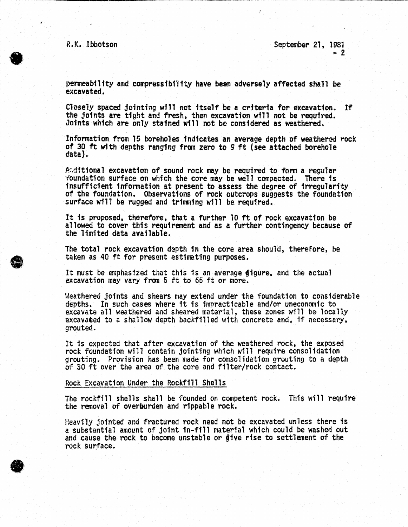······,  $\alpha$  . The set of  $\alpha$ . •'

**9** 

R.K. Ibbotson September 21, 1981  $-2$ 

;

permeability and compressfbi11ty have bean adversely affected shall be excavated.

Closely spaced jointing wf11 not itself be a criteria for excavation. If the joints are tight and fresh, then excavation will not be required. Joints which are only stained will not be considered as weathered.

Information from 15 boreholes indicates an average depth of weathered rock of 30 ft with depths ranging from zero to 9 ft (see attached borehole data).

Aditional excavation of sound rock may be required to form a regular<br>roundation surface on which the core may be well compacted. There is insufficient information at present to assess the degree of irregularity of the foundation. Observations of rock outcrops suggests the foundation surface will be rugged and trimming will be required.

It is proposed, therefore, that a further 10 ft of rock excavation be allowed to cover this requirement and as a further contingency because of the limited data available.

The total rock excavation depth in the core area should, therefore, be taken as 40 ft for present estimating purposes.

It must be emphasized that this is an average figure, and the actual excavation may vary from 5 ft to 65 ft or more.

Weathered joints and shears may extend under the foundation to considerable depths. In such cases where it is impracticable and/or uneconomic to excavate all weathered and sheared material, these zones will be locally excavaeed to a shallow depth backfilled with concrete and. if necessary, grouted~

It is expected that after excavation of the weathered rock, the exposed rock foundation will contain jointing which w111 require consolidation grouting. Provision has been made for consolidation grouting to a depth of 30 ft over the area of the core and filter/rock contact.

#### Rock Excavation Under the Rockfill Shells

The rockfill shells shall be founded on competent rock. This will require the removal of overburden and rippable rock.

Heavily jointed and fractured rock need not be excavated unless there fs a substantial amount of joint in-fill material which could be washed out and cause the rock to become unstable or *dive* rise to settlement of the rock surface.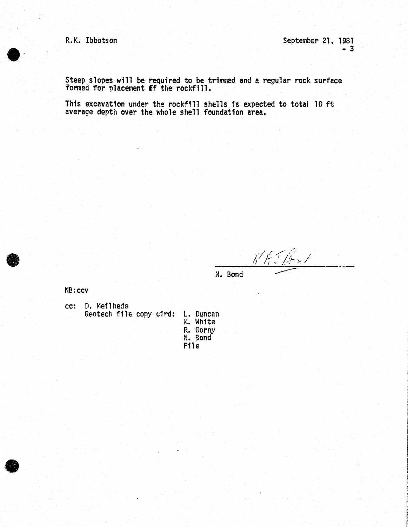R.K. Ibbotson September 21, 1981  $-3$ 

Steep slopes will be required to be trimmed and a regular rock surface formed for placement ff the rockfill.

This excavation under the rockf111 shells 1s expected to total 10 ft average depth over the whole shell foundation area.



 $\bullet$ 

 $N$  Ki Jan /

N. Bond

NB:ccv

cc: D. Meilhede Geotech file copy cird: l. Duncan

K. White<br>R. Gorny R. Gorny N. Bond File

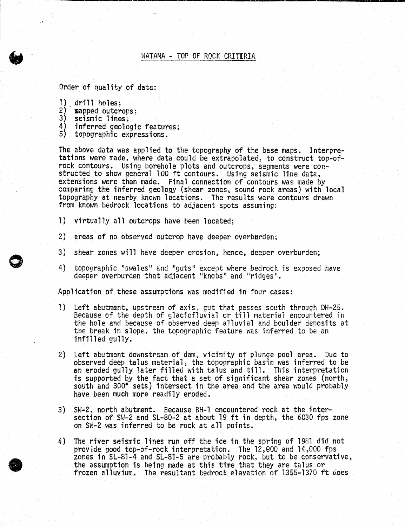# WATANA - TOP OF ROCK CRITERIA

Order of quality of data:

- $1)$  drill holes;
- 2) **sapped outcrops;**
- 3) seismic lines;

0

•

- 4) inferred geoloqic features;
- 5) topographic expressions.

The above data was applied to the topography of the base maps. Interpre-<br>tations were made, where data could be extrapolated, to construct top-of-<br>rock contours. Using borehole plots and outcrops, segments were constructed to show general 100 ft contours. Using seismic line data,<br>extensions were then made. Final connection of contours was made by extensions were then made. Final connection of contours was made by<br>comparing the inferred geology (shear zones, sound rock areas) with local topography at nearby known locations. The results were contours drawn from knovm bedrock locations to adjacent spots assuming:

- 1) virtually all outcrops have been located;
- 2) areas of no observed outcrop have deeper overburden;
- 3) shear zones will have deeper erosion, hence, deeper overburden;
- 4) topographic "swales" and "guts" except where bedrock is exposed have deeper overburden that adjacent "knobs" and "ridges".

Application of these assumptions was modified in four cases:

- 1) Left abutment, upstream of axis, gut that passes south through DH-25. Because of the depth of glaciofluvial or till material encountered in the hole and because of observed deep alluvial and boulder deposits at the break in slope, the topographic feature was inferred to be an infilled gully.
- 2) Left abutment downstream of dam, vicinity of plunge pool area. Due to observed deep talus material, the topographic basin was inferred to be an eroded gully later filled with talus and till. This interpretation is supported by the fact that a set of significant shear zones (north, south and 300° sets) intersect in the area and the area would probably have been much more readily eroded.
- 3) SH-2, north abutment. Because BH-1 encountered rock at the intersection of SW-2 and SL-80-2 at about 19 ft in depth, the 6030 fps zone on SW-2 was inferred to be rock at all points.
- 4) The river seismic lines run off the ice in the spring of 1981 did not provide good top-of-rock interpretation. The 12,000 and 14,000 fps zones in SL-81-4 and SL-81-5 are probably rock, but to be conservative, the assumption is being made at this time that they are talus or frozen alluvium. The resultant bedrock elevation of 1355-1370 ft does